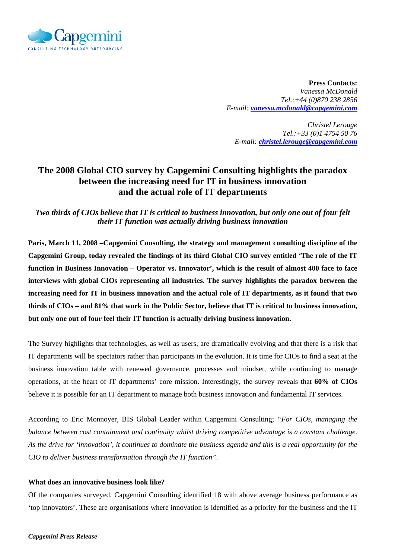

**Press Contacts:**  *Vanessa McDonald Tel.:+44 (0)870 238 2856 E-mail: vanessa.mcdonald@capgemini.com* 

*Christel Lerouge Tel.:+33 (0)1 4754 50 76 E-mail: christel.lerouge@capgemini.com* 

# **The 2008 Global CIO survey by Capgemini Consulting highlights the paradox between the increasing need for IT in business innovation and the actual role of IT departments**

*Two thirds of CIOs believe that IT is critical to business innovation, but only one out of four felt their IT function was actually driving business innovation* 

**Paris, March 11, 2008 –Capgemini Consulting, the strategy and management consulting discipline of the Capgemini Group, today revealed the findings of its third Global CIO survey entitled 'The role of the IT function in Business Innovation – Operator vs. Innovator', which is the result of almost 400 face to face interviews with global CIOs representing all industries. The survey highlights the paradox between the increasing need for IT in business innovation and the actual role of IT departments, as it found that two thirds of CIOs – and 81% that work in the Public Sector, believe that IT is critical to business innovation, but only one out of four feel their IT function is actually driving business innovation.** 

The Survey highlights that technologies, as well as users, are dramatically evolving and that there is a risk that IT departments will be spectators rather than participants in the evolution. It is time for CIOs to find a seat at the business innovation table with renewed governance, processes and mindset, while continuing to manage operations, at the heart of IT departments' core mission. Interestingly, the survey reveals that **60% of CIOs** believe it is possible for an IT department to manage both business innovation and fundamental IT services.

According to Eric Monnoyer, BIS Global Leader within Capgemini Consulting; *"For CIOs, managing the balance between cost containment and continuity whilst driving competitive advantage is a constant challenge. As the drive for 'innovation', it continues to dominate the business agenda and this is a real opportunity for the CIO to deliver business transformation through the IT function".* 

### **What does an innovative business look like?**

Of the companies surveyed, Capgemini Consulting identified 18 with above average business performance as 'top innovators'. These are organisations where innovation is identified as a priority for the business and the IT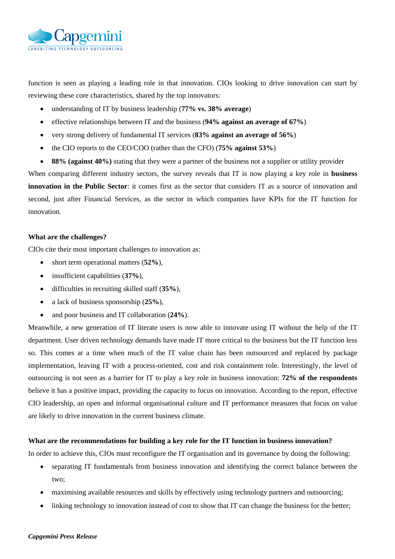

function is seen as playing a leading role in that innovation. CIOs looking to drive innovation can start by reviewing these core characteristics, shared by the top innovators:

- understanding of IT by business leadership (**77% vs. 38% average**)
- effective relationships between IT and the business (**94% against an average of 67%**)
- very strong delivery of fundamental IT services (**83% against an average of 56%**)
- the CIO reports to the CEO/COO (rather than the CFO) (**75% against 53%**)
- **88% (against 40%)** stating that they were a partner of the business not a supplier or utility provider

When comparing different industry sectors, the survey reveals that IT is now playing a key role in **business innovation in the Public Sector**: it comes first as the sector that considers IT as a source of innovation and second, just after Financial Services, as the sector in which companies have KPIs for the IT function for innovation.

## **What are the challenges?**

CIOs cite their most important challenges to innovation as:

- short term operational matters (**52%**),
- insufficient capabilities (**37%**),
- difficulties in recruiting skilled staff (**35%**),
- a lack of business sponsorship (**25%**),
- and poor business and IT collaboration (**24%**).

Meanwhile, a new generation of IT literate users is now able to innovate using IT without the help of the IT department. User driven technology demands have made IT more critical to the business but the IT function less so. This comes at a time when much of the IT value chain has been outsourced and replaced by package implementation, leaving IT with a process-oriented, cost and risk containment role. Interestingly, the level of outsourcing is not seen as a barrier for IT to play a key role in business innovation: **72% of the respondents** believe it has a positive impact, providing the capacity to focus on innovation. According to the report, effective CIO leadership, an open and informal organisational culture and IT performance measures that focus on value are likely to drive innovation in the current business climate.

### **What are the recommendations for building a key role for the IT function in business innovation?**

In order to achieve this, CIOs must reconfigure the IT organisation and its governance by doing the following:

- separating IT fundamentals from business innovation and identifying the correct balance between the two;
- maximising available resources and skills by effectively using technology partners and outsourcing;
- linking technology to innovation instead of cost to show that IT can change the business for the better;